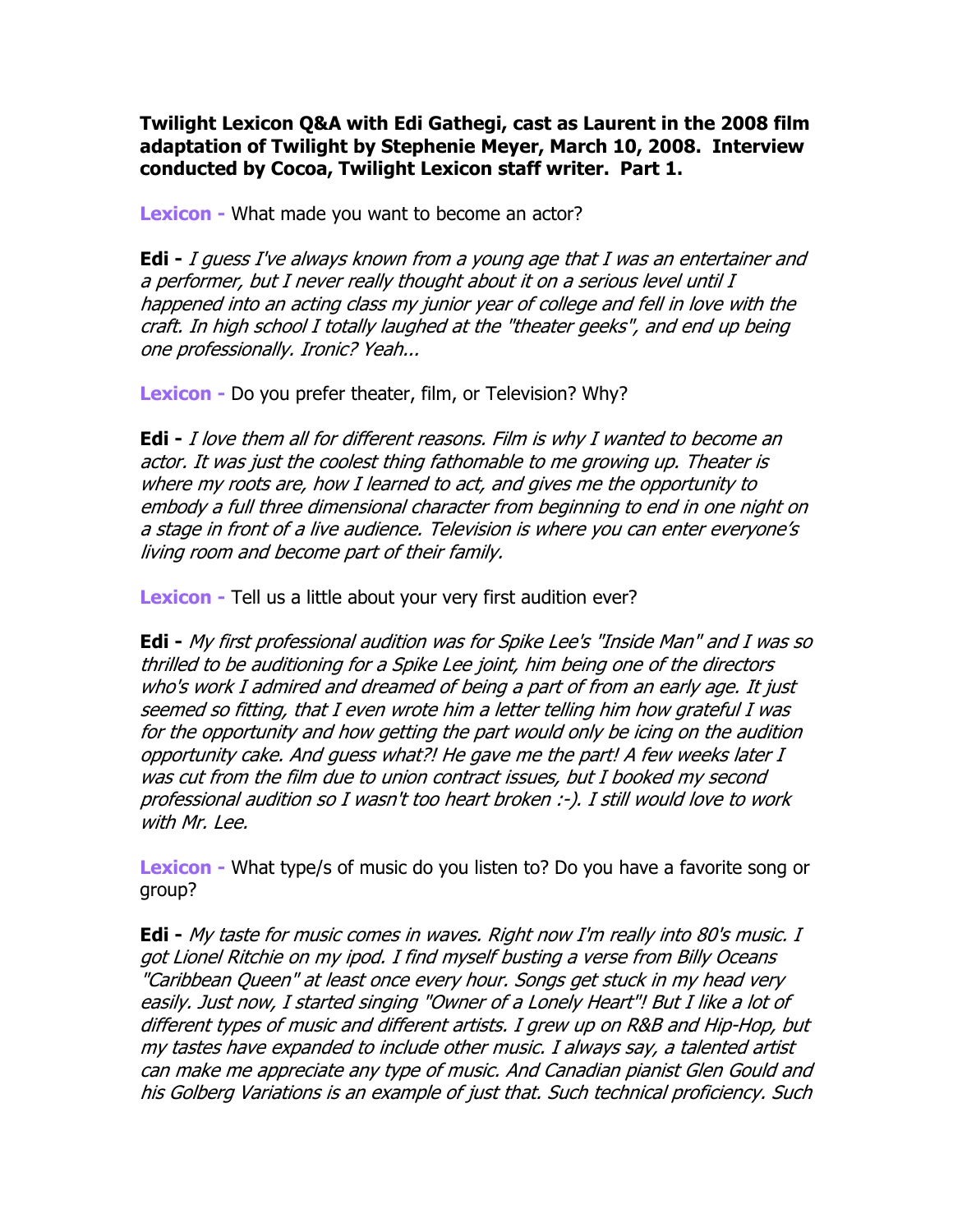Twilight Lexicon Q&A with Edi Gathegi, cast as Laurent in the 2008 film adaptation of Twilight by Stephenie Meyer, March 10, 2008. Interview conducted by Cocoa, Twilight Lexicon staff writer. Part 1.

Lexicon - What made you want to become an actor?

**Edi** - I guess I've always known from a young age that I was an entertainer and a performer, but I never really thought about it on a serious level until I happened into an acting class my junior year of college and fell in love with the craft. In high school I totally laughed at the "theater geeks", and end up being one professionally. Ironic? Yeah...

Lexicon - Do you prefer theater, film, or Television? Why?

**Edi** - I love them all for different reasons. Film is why I wanted to become an actor. It was just the coolest thing fathomable to me growing up. Theater is where my roots are, how I learned to act, and gives me the opportunity to embody a full three dimensional character from beginning to end in one night on a stage in front of a live audience. Television is where you can enter everyone's living room and become part of their family.

Lexicon - Tell us a little about your very first audition ever?

Edi - My first professional audition was for Spike Lee's "Inside Man" and I was so thrilled to be auditioning for a Spike Lee joint, him being one of the directors who's work I admired and dreamed of being a part of from an early age. It just seemed so fitting, that I even wrote him a letter telling him how grateful I was for the opportunity and how getting the part would only be icing on the audition opportunity cake. And guess what?! He gave me the part! A few weeks later I was cut from the film due to union contract issues, but I booked my second professional audition so I wasn't too heart broken :-). I still would love to work with Mr. Lee.

Lexicon - What type/s of music do you listen to? Do you have a favorite song or group?

Edi - My taste for music comes in waves. Right now I'm really into 80's music. I got Lionel Ritchie on my ipod. I find myself busting a verse from Billy Oceans "Caribbean Queen" at least once every hour. Songs get stuck in my head very easily. Just now, I started singing "Owner of a Lonely Heart"! But I like a lot of different types of music and different artists. I grew up on R&B and Hip-Hop, but my tastes have expanded to include other music. I always say, a talented artist can make me appreciate any type of music. And Canadian pianist Glen Gould and his Golberg Variations is an example of just that. Such technical proficiency. Such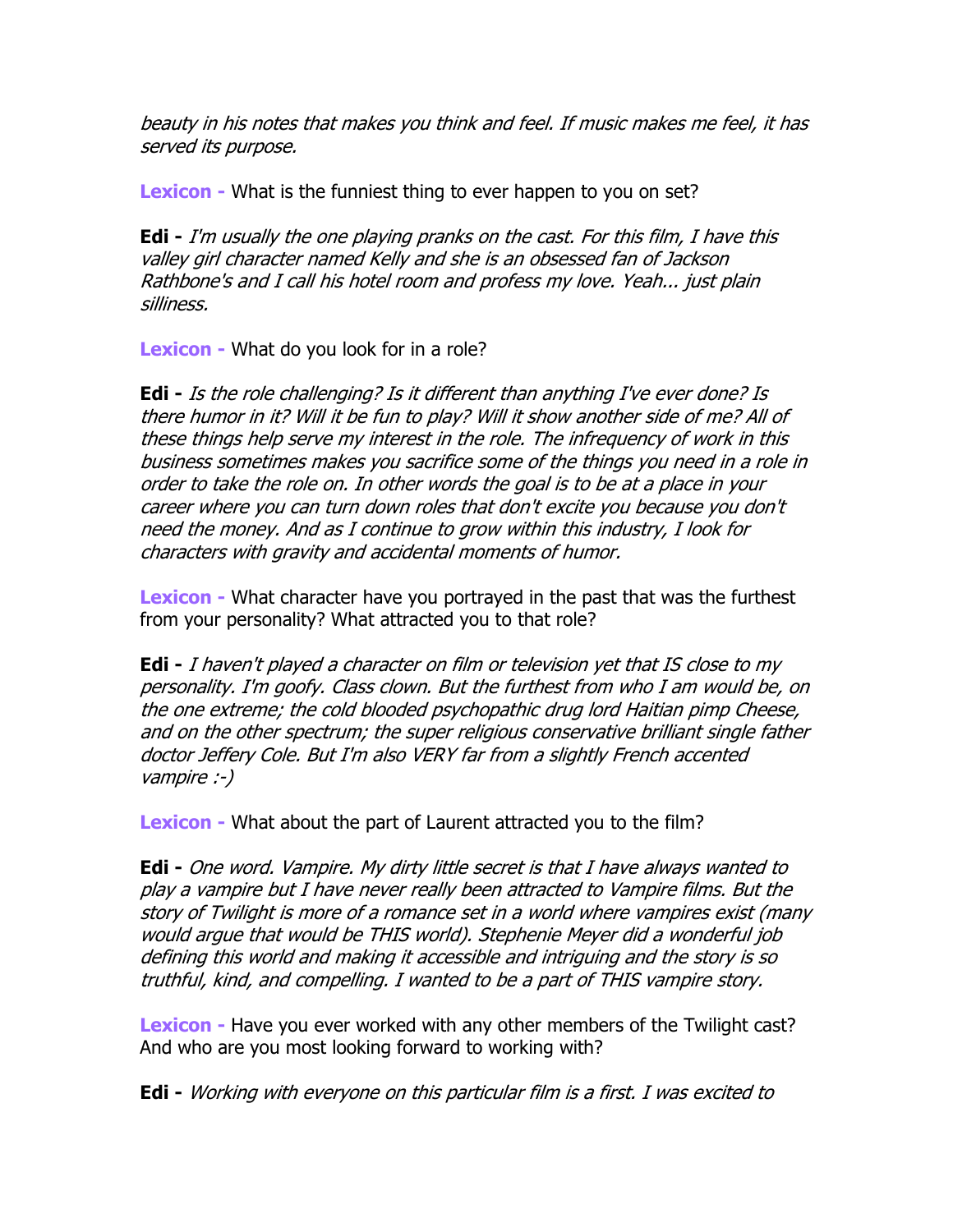beauty in his notes that makes you think and feel. If music makes me feel, it has served its purpose.

Lexicon - What is the funniest thing to ever happen to you on set?

**Edi** - I'm usually the one playing pranks on the cast. For this film, I have this valley girl character named Kelly and she is an obsessed fan of Jackson Rathbone's and I call his hotel room and profess my love. Yeah... just plain silliness.

**Lexicon** - What do you look for in a role?

Edi - Is the role challenging? Is it different than anything I've ever done? Is there humor in it? Will it be fun to play? Will it show another side of me? All of these things help serve my interest in the role. The infrequency of work in this business sometimes makes you sacrifice some of the things you need in a role in order to take the role on. In other words the goal is to be at a place in your career where you can turn down roles that don't excite you because you don't need the money. And as I continue to grow within this industry, I look for characters with gravity and accidental moments of humor.

**Lexicon** - What character have you portrayed in the past that was the furthest from your personality? What attracted you to that role?

**Edi** - I haven't played a character on film or television yet that IS close to my personality. I'm goofy. Class clown. But the furthest from who I am would be, on the one extreme; the cold blooded psychopathic drug lord Haitian pimp Cheese, and on the other spectrum; the super religious conservative brilliant single father doctor Jeffery Cole. But I'm also VERY far from a slightly French accented vampire :-)

Lexicon - What about the part of Laurent attracted you to the film?

Edi - One word. Vampire. My dirty little secret is that I have always wanted to play a vampire but I have never really been attracted to Vampire films. But the story of Twilight is more of a romance set in a world where vampires exist (many would argue that would be THIS world). Stephenie Meyer did a wonderful job defining this world and making it accessible and intriguing and the story is so truthful, kind, and compelling. I wanted to be a part of THIS vampire story.

Lexicon - Have you ever worked with any other members of the Twilight cast? And who are you most looking forward to working with?

Edi - Working with everyone on this particular film is a first. I was excited to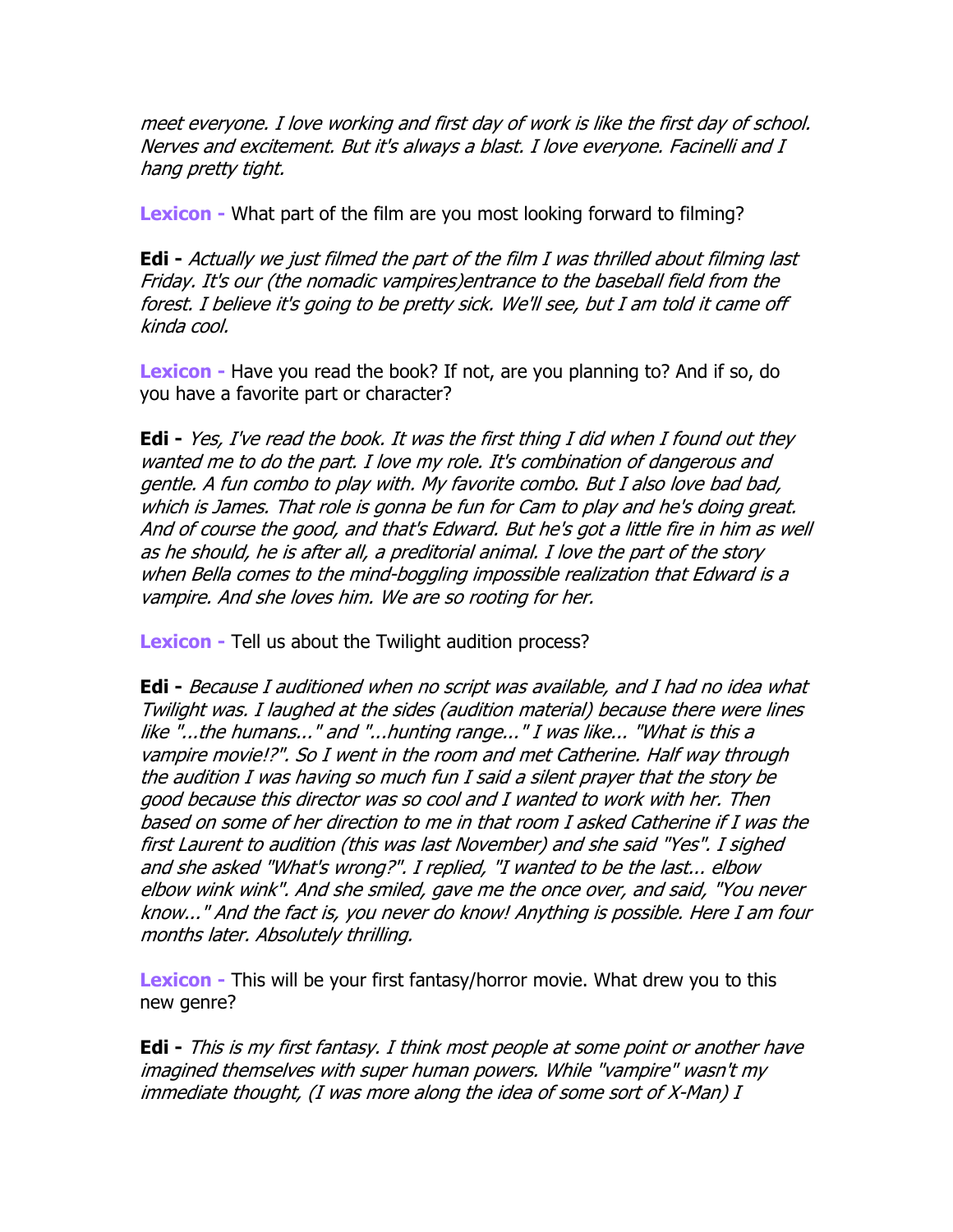meet everyone. I love working and first day of work is like the first day of school. Nerves and excitement. But it's always a blast. I love everyone. Facinelli and I hang pretty tight.

Lexicon - What part of the film are you most looking forward to filming?

**Edi** - Actually we just filmed the part of the film I was thrilled about filming last Friday. It's our (the nomadic vampires)entrance to the baseball field from the forest. I believe it's going to be pretty sick. We'll see, but I am told it came off kinda cool.

Lexicon - Have you read the book? If not, are you planning to? And if so, do you have a favorite part or character?

**Edi** - Yes, I've read the book. It was the first thing I did when I found out they wanted me to do the part. I love my role. It's combination of dangerous and gentle. A fun combo to play with. My favorite combo. But I also love bad bad, which is James. That role is gonna be fun for Cam to play and he's doing great. And of course the good, and that's Edward. But he's got a little fire in him as well as he should, he is after all, a preditorial animal. I love the part of the story when Bella comes to the mind-boggling impossible realization that Edward is a vampire. And she loves him. We are so rooting for her.

**Lexicon** - Tell us about the Twilight audition process?

Edi - Because I auditioned when no script was available, and I had no idea what Twilight was. I laughed at the sides (audition material) because there were lines like "...the humans..." and "...hunting range..." I was like... "What is this a vampire movie!?". So I went in the room and met Catherine. Half way through the audition I was having so much fun I said a silent prayer that the story be good because this director was so cool and I wanted to work with her. Then based on some of her direction to me in that room I asked Catherine if I was the first Laurent to audition (this was last November) and she said "Yes". I sighed and she asked "What's wrong?". I replied, "I wanted to be the last... elbow elbow wink wink". And she smiled, gave me the once over, and said, "You never know..." And the fact is, you never do know! Anything is possible. Here I am four months later. Absolutely thrilling.

Lexicon - This will be your first fantasy/horror movie. What drew you to this new genre?

Edi - This is my first fantasy. I think most people at some point or another have imagined themselves with super human powers. While "vampire" wasn't my immediate thought, (I was more along the idea of some sort of X-Man) I